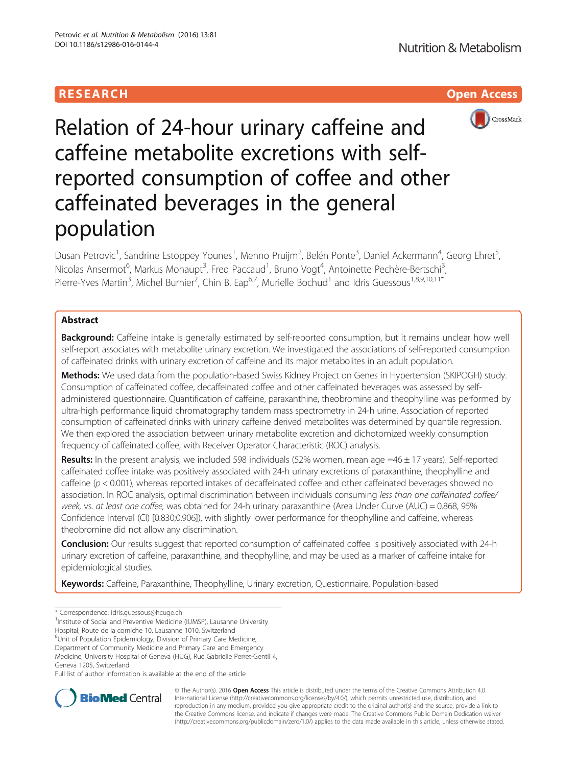# **RESEARCH CHILD CONTROL** CONTROL CONTROL CONTROL CONTROL CONTROL CONTROL CONTROL CONTROL CONTROL CONTROL CONTROL CONTROL CONTROL CONTROL CONTROL CONTROL CONTROL CONTROL CONTROL CONTROL CONTROL CONTROL CONTROL CONTROL CONTR



Relation of 24-hour urinary caffeine and caffeine metabolite excretions with selfreported consumption of coffee and other caffeinated beverages in the general population

Dusan Petrovic<sup>1</sup>, Sandrine Estoppey Younes<sup>1</sup>, Menno Pruijm<sup>2</sup>, Belén Ponte<sup>3</sup>, Daniel Ackermann<sup>4</sup>, Georg Ehret<sup>5</sup> , Nicolas Ansermot<sup>6</sup>, Markus Mohaupt<sup>3</sup>, Fred Paccaud<sup>1</sup>, Bruno Vogt<sup>4</sup>, Antoinette Pechère-Bertschi<sup>3</sup> , Pierre-Yves Martin<sup>3</sup>, Michel Burnier<sup>2</sup>, Chin B. Eap<sup>6,7</sup>, Murielle Bochud<sup>1</sup> and Idris Guessous<sup>1,8,9,10,11\*</sup>

## Abstract

Background: Caffeine intake is generally estimated by self-reported consumption, but it remains unclear how well self-report associates with metabolite urinary excretion. We investigated the associations of self-reported consumption of caffeinated drinks with urinary excretion of caffeine and its major metabolites in an adult population.

Methods: We used data from the population-based Swiss Kidney Project on Genes in Hypertension (SKIPOGH) study. Consumption of caffeinated coffee, decaffeinated coffee and other caffeinated beverages was assessed by selfadministered questionnaire. Quantification of caffeine, paraxanthine, theobromine and theophylline was performed by ultra-high performance liquid chromatography tandem mass spectrometry in 24-h urine. Association of reported consumption of caffeinated drinks with urinary caffeine derived metabolites was determined by quantile regression. We then explored the association between urinary metabolite excretion and dichotomized weekly consumption frequency of caffeinated coffee, with Receiver Operator Characteristic (ROC) analysis.

Results: In the present analysis, we included 598 individuals (52% women, mean age =46 ± 17 years). Self-reported caffeinated coffee intake was positively associated with 24-h urinary excretions of paraxanthine, theophylline and caffeine (p < 0.001), whereas reported intakes of decaffeinated coffee and other caffeinated beverages showed no association. In ROC analysis, optimal discrimination between individuals consuming less than one caffeinated coffee/ week, vs. at least one coffee, was obtained for 24-h urinary paraxanthine (Area Under Curve (AUC) = 0.868, 95% Confidence Interval (CI) [0.830;0.906]), with slightly lower performance for theophylline and caffeine, whereas theobromine did not allow any discrimination.

Conclusion: Our results suggest that reported consumption of caffeinated coffee is positively associated with 24-h urinary excretion of caffeine, paraxanthine, and theophylline, and may be used as a marker of caffeine intake for epidemiological studies.

**Keywords:** Caffeine, Paraxanthine, Theophylline, Urinary excretion, Questionnaire, Population-based

\* Correspondence: [idris.guessous@hcuge.ch](mailto:idris.guessous@hcuge.ch) <sup>1</sup>

<sup>1</sup>Institute of Social and Preventive Medicine (IUMSP), Lausanne University

Hospital, Route de la corniche 10, Lausanne 1010, Switzerland

<sup>8</sup>Unit of Population Epidemiology, Division of Primary Care Medicine, Department of Community Medicine and Primary Care and Emergency

Medicine, University Hospital of Geneva (HUG), Rue Gabrielle Perret-Gentil 4,

Geneva 1205, Switzerland

Full list of author information is available at the end of the article



© The Author(s). 2016 Open Access This article is distributed under the terms of the Creative Commons Attribution 4.0 International License [\(http://creativecommons.org/licenses/by/4.0/](http://creativecommons.org/licenses/by/4.0/)), which permits unrestricted use, distribution, and reproduction in any medium, provided you give appropriate credit to the original author(s) and the source, provide a link to the Creative Commons license, and indicate if changes were made. The Creative Commons Public Domain Dedication waiver [\(http://creativecommons.org/publicdomain/zero/1.0/](http://creativecommons.org/publicdomain/zero/1.0/)) applies to the data made available in this article, unless otherwise stated.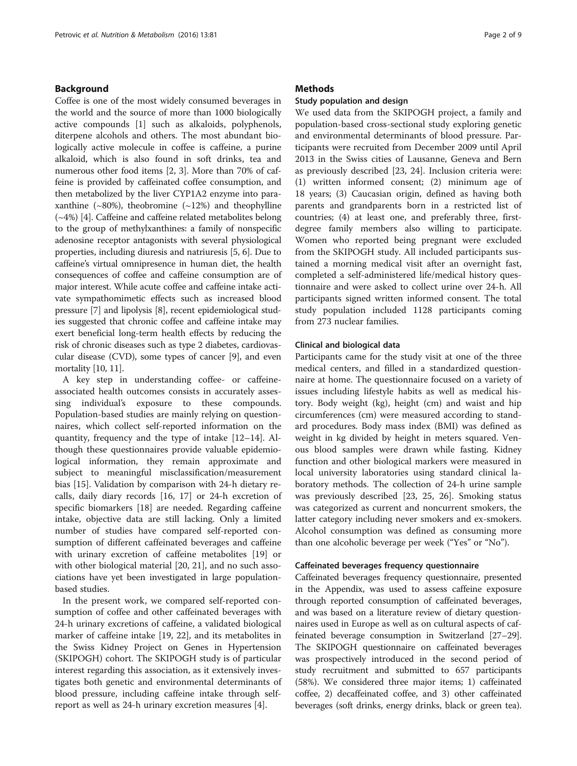### Background

Coffee is one of the most widely consumed beverages in the world and the source of more than 1000 biologically active compounds [[1\]](#page-7-0) such as alkaloids, polyphenols, diterpene alcohols and others. The most abundant biologically active molecule in coffee is caffeine, a purine alkaloid, which is also found in soft drinks, tea and numerous other food items [[2](#page-7-0), [3\]](#page-7-0). More than 70% of caffeine is provided by caffeinated coffee consumption, and then metabolized by the liver CYP1A2 enzyme into paraxanthine  $(\sim 80\%)$ , theobromine  $(\sim 12\%)$  and theophylline (~4%) [\[4](#page-8-0)]. Caffeine and caffeine related metabolites belong to the group of methylxanthines: a family of nonspecific adenosine receptor antagonists with several physiological properties, including diuresis and natriuresis [[5](#page-8-0), [6](#page-8-0)]. Due to caffeine's virtual omnipresence in human diet, the health consequences of coffee and caffeine consumption are of major interest. While acute coffee and caffeine intake activate sympathomimetic effects such as increased blood pressure [\[7](#page-8-0)] and lipolysis [\[8\]](#page-8-0), recent epidemiological studies suggested that chronic coffee and caffeine intake may exert beneficial long-term health effects by reducing the risk of chronic diseases such as type 2 diabetes, cardiovascular disease (CVD), some types of cancer [\[9](#page-8-0)], and even mortality [[10](#page-8-0), [11\]](#page-8-0).

A key step in understanding coffee- or caffeineassociated health outcomes consists in accurately assessing individual's exposure to these compounds. Population-based studies are mainly relying on questionnaires, which collect self-reported information on the quantity, frequency and the type of intake [\[12](#page-8-0)–[14](#page-8-0)]. Although these questionnaires provide valuable epidemiological information, they remain approximate and subject to meaningful misclassification/measurement bias [[15\]](#page-8-0). Validation by comparison with 24-h dietary recalls, daily diary records [[16](#page-8-0), [17](#page-8-0)] or 24-h excretion of specific biomarkers [\[18](#page-8-0)] are needed. Regarding caffeine intake, objective data are still lacking. Only a limited number of studies have compared self-reported consumption of different caffeinated beverages and caffeine with urinary excretion of caffeine metabolites [\[19](#page-8-0)] or with other biological material [[20](#page-8-0), [21](#page-8-0)], and no such associations have yet been investigated in large populationbased studies.

In the present work, we compared self-reported consumption of coffee and other caffeinated beverages with 24-h urinary excretions of caffeine, a validated biological marker of caffeine intake [[19, 22](#page-8-0)], and its metabolites in the Swiss Kidney Project on Genes in Hypertension (SKIPOGH) cohort. The SKIPOGH study is of particular interest regarding this association, as it extensively investigates both genetic and environmental determinants of blood pressure, including caffeine intake through selfreport as well as 24-h urinary excretion measures [[4\]](#page-8-0).

### **Methods**

#### Study population and design

We used data from the SKIPOGH project, a family and population-based cross-sectional study exploring genetic and environmental determinants of blood pressure. Participants were recruited from December 2009 until April 2013 in the Swiss cities of Lausanne, Geneva and Bern as previously described [\[23, 24\]](#page-8-0). Inclusion criteria were: (1) written informed consent; (2) minimum age of 18 years; (3) Caucasian origin, defined as having both parents and grandparents born in a restricted list of countries; (4) at least one, and preferably three, firstdegree family members also willing to participate. Women who reported being pregnant were excluded from the SKIPOGH study. All included participants sustained a morning medical visit after an overnight fast, completed a self-administered life/medical history questionnaire and were asked to collect urine over 24-h. All participants signed written informed consent. The total study population included 1128 participants coming from 273 nuclear families.

### Clinical and biological data

Participants came for the study visit at one of the three medical centers, and filled in a standardized questionnaire at home. The questionnaire focused on a variety of issues including lifestyle habits as well as medical history. Body weight (kg), height (cm) and waist and hip circumferences (cm) were measured according to standard procedures. Body mass index (BMI) was defined as weight in kg divided by height in meters squared. Venous blood samples were drawn while fasting. Kidney function and other biological markers were measured in local university laboratories using standard clinical laboratory methods. The collection of 24-h urine sample was previously described [\[23, 25](#page-8-0), [26](#page-8-0)]. Smoking status was categorized as current and noncurrent smokers, the latter category including never smokers and ex-smokers. Alcohol consumption was defined as consuming more than one alcoholic beverage per week ("Yes" or "No").

#### Caffeinated beverages frequency questionnaire

Caffeinated beverages frequency questionnaire, presented in the Appendix, was used to assess caffeine exposure through reported consumption of caffeinated beverages, and was based on a literature review of dietary questionnaires used in Europe as well as on cultural aspects of caffeinated beverage consumption in Switzerland [\[27](#page-8-0)–[29](#page-8-0)]. The SKIPOGH questionnaire on caffeinated beverages was prospectively introduced in the second period of study recruitment and submitted to 657 participants (58%). We considered three major items; 1) caffeinated coffee, 2) decaffeinated coffee, and 3) other caffeinated beverages (soft drinks, energy drinks, black or green tea).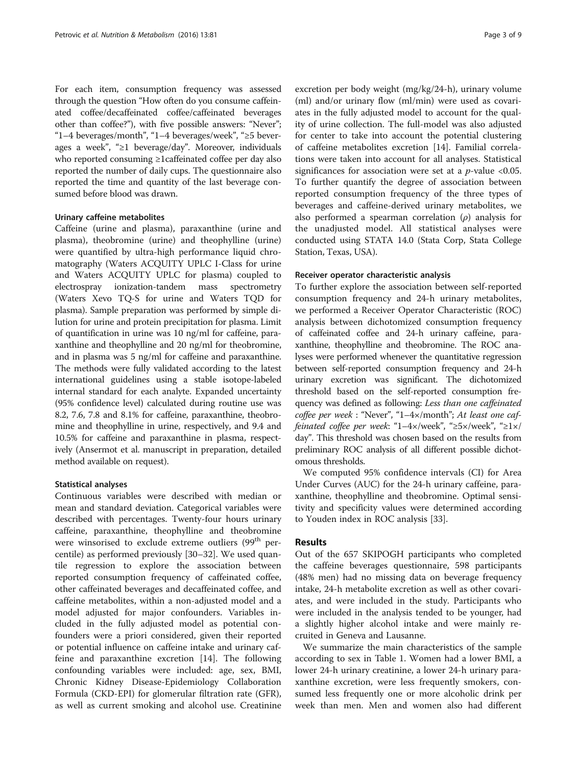For each item, consumption frequency was assessed through the question "How often do you consume caffeinated coffee/decaffeinated coffee/caffeinated beverages other than coffee?"), with five possible answers: "Never"; "1–4 beverages/month", "1–4 beverages/week", "≥5 beverages a week", "≥1 beverage/day". Moreover, individuals who reported consuming ≥1caffeinated coffee per day also reported the number of daily cups. The questionnaire also reported the time and quantity of the last beverage consumed before blood was drawn.

### Urinary caffeine metabolites

Caffeine (urine and plasma), paraxanthine (urine and plasma), theobromine (urine) and theophylline (urine) were quantified by ultra-high performance liquid chromatography (Waters ACQUITY UPLC I-Class for urine and Waters ACQUITY UPLC for plasma) coupled to electrospray ionization-tandem mass spectrometry (Waters Xevo TQ-S for urine and Waters TQD for plasma). Sample preparation was performed by simple dilution for urine and protein precipitation for plasma. Limit of quantification in urine was 10 ng/ml for caffeine, paraxanthine and theophylline and 20 ng/ml for theobromine, and in plasma was 5 ng/ml for caffeine and paraxanthine. The methods were fully validated according to the latest international guidelines using a stable isotope-labeled internal standard for each analyte. Expanded uncertainty (95% confidence level) calculated during routine use was 8.2, 7.6, 7.8 and 8.1% for caffeine, paraxanthine, theobromine and theophylline in urine, respectively, and 9.4 and 10.5% for caffeine and paraxanthine in plasma, respectively (Ansermot et al. manuscript in preparation, detailed method available on request).

### Statistical analyses

Continuous variables were described with median or mean and standard deviation. Categorical variables were described with percentages. Twenty-four hours urinary caffeine, paraxanthine, theophylline and theobromine were winsorised to exclude extreme outliers (99<sup>th</sup> percentile) as performed previously [\[30](#page-8-0)–[32\]](#page-8-0). We used quantile regression to explore the association between reported consumption frequency of caffeinated coffee, other caffeinated beverages and decaffeinated coffee, and caffeine metabolites, within a non-adjusted model and a model adjusted for major confounders. Variables included in the fully adjusted model as potential confounders were a priori considered, given their reported or potential influence on caffeine intake and urinary caffeine and paraxanthine excretion [[14](#page-8-0)]. The following confounding variables were included: age, sex, BMI, Chronic Kidney Disease-Epidemiology Collaboration Formula (CKD-EPI) for glomerular filtration rate (GFR), as well as current smoking and alcohol use. Creatinine

excretion per body weight (mg/kg/24-h), urinary volume (ml) and/or urinary flow (ml/min) were used as covariates in the fully adjusted model to account for the quality of urine collection. The full-model was also adjusted for center to take into account the potential clustering of caffeine metabolites excretion [\[14](#page-8-0)]. Familial correlations were taken into account for all analyses. Statistical significances for association were set at a  $p$ -value <0.05. To further quantify the degree of association between reported consumption frequency of the three types of beverages and caffeine-derived urinary metabolites, we also performed a spearman correlation  $(\rho)$  analysis for the unadjusted model. All statistical analyses were conducted using STATA 14.0 (Stata Corp, Stata College Station, Texas, USA).

### Receiver operator characteristic analysis

To further explore the association between self-reported consumption frequency and 24-h urinary metabolites, we performed a Receiver Operator Characteristic (ROC) analysis between dichotomized consumption frequency of caffeinated coffee and 24-h urinary caffeine, paraxanthine, theophylline and theobromine. The ROC analyses were performed whenever the quantitative regression between self-reported consumption frequency and 24-h urinary excretion was significant. The dichotomized threshold based on the self-reported consumption frequency was defined as following: Less than one caffeinated coffee per week : "Never", "1–4×/month"; At least one caffeinated coffee per week: "1–4×/week", "≥5×/week", "≥1×/ day". This threshold was chosen based on the results from preliminary ROC analysis of all different possible dichotomous thresholds.

We computed 95% confidence intervals (CI) for Area Under Curves (AUC) for the 24-h urinary caffeine, paraxanthine, theophylline and theobromine. Optimal sensitivity and specificity values were determined according to Youden index in ROC analysis [\[33](#page-8-0)].

### Results

Out of the 657 SKIPOGH participants who completed the caffeine beverages questionnaire, 598 participants (48% men) had no missing data on beverage frequency intake, 24-h metabolite excretion as well as other covariates, and were included in the study. Participants who were included in the analysis tended to be younger, had a slightly higher alcohol intake and were mainly recruited in Geneva and Lausanne.

We summarize the main characteristics of the sample according to sex in Table [1](#page-3-0). Women had a lower BMI, a lower 24-h urinary creatinine, a lower 24-h urinary paraxanthine excretion, were less frequently smokers, consumed less frequently one or more alcoholic drink per week than men. Men and women also had different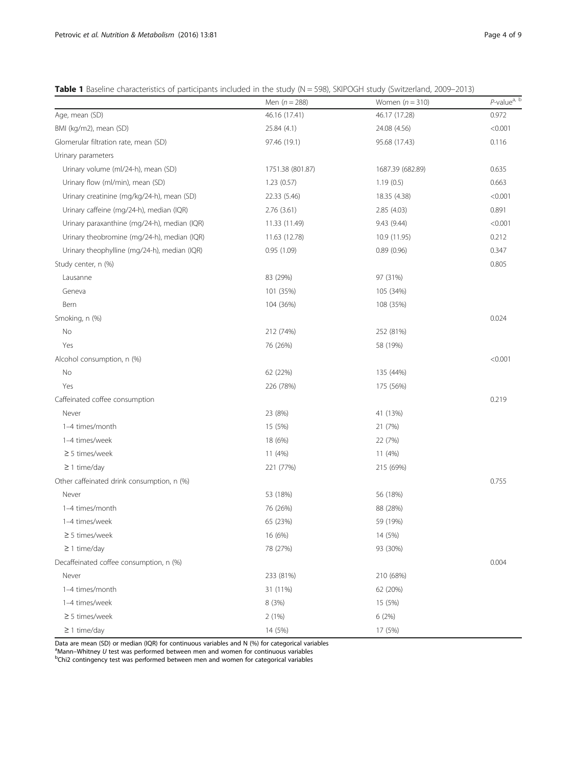<span id="page-3-0"></span>

| Table 1 Baseline characteristics of participants included in the study (N = 598), SKIPOGH study (Switzerland, 2009–2013) |  |  |
|--------------------------------------------------------------------------------------------------------------------------|--|--|
|--------------------------------------------------------------------------------------------------------------------------|--|--|

|                                              | Men $(n = 288)$  | Women $(n = 310)$ | P-value <sup>a, b</sup> |
|----------------------------------------------|------------------|-------------------|-------------------------|
| Age, mean (SD)                               | 46.16 (17.41)    | 46.17 (17.28)     | 0.972                   |
| BMI (kg/m2), mean (SD)                       | 25.84 (4.1)      | 24.08 (4.56)      | < 0.001                 |
| Glomerular filtration rate, mean (SD)        | 97.46 (19.1)     | 95.68 (17.43)     | 0.116                   |
| Urinary parameters                           |                  |                   |                         |
| Urinary volume (ml/24-h), mean (SD)          | 1751.38 (801.87) | 1687.39 (682.89)  | 0.635                   |
| Urinary flow (ml/min), mean (SD)             | 1.23(0.57)       | 1.19(0.5)         | 0.663                   |
| Urinary creatinine (mg/kg/24-h), mean (SD)   | 22.33 (5.46)     | 18.35 (4.38)      | < 0.001                 |
| Urinary caffeine (mg/24-h), median (IQR)     | 2.76(3.61)       | 2.85 (4.03)       | 0.891                   |
| Urinary paraxanthine (mg/24-h), median (IQR) | 11.33 (11.49)    | 9.43(9.44)        | < 0.001                 |
| Urinary theobromine (mg/24-h), median (IQR)  | 11.63 (12.78)    | 10.9 (11.95)      | 0.212                   |
| Urinary theophylline (mg/24-h), median (IQR) | 0.95(1.09)       | 0.89(0.96)        | 0.347                   |
| Study center, n (%)                          |                  |                   | 0.805                   |
| Lausanne                                     | 83 (29%)         | 97 (31%)          |                         |
| Geneva                                       | 101 (35%)        | 105 (34%)         |                         |
| Bern                                         | 104 (36%)        | 108 (35%)         |                         |
| Smoking, n (%)                               |                  |                   | 0.024                   |
| No                                           | 212 (74%)        | 252 (81%)         |                         |
| Yes                                          | 76 (26%)         | 58 (19%)          |                         |
| Alcohol consumption, n (%)                   |                  |                   | < 0.001                 |
| No                                           | 62 (22%)         | 135 (44%)         |                         |
| Yes                                          | 226 (78%)        | 175 (56%)         |                         |
| Caffeinated coffee consumption               |                  |                   | 0.219                   |
| Never                                        | 23 (8%)          | 41 (13%)          |                         |
| 1-4 times/month                              | 15 (5%)          | 21 (7%)           |                         |
| 1-4 times/week                               | 18 (6%)          | 22 (7%)           |                         |
| $\geq$ 5 times/week                          | 11 (4%)          | 11 (4%)           |                         |
| $\geq$ 1 time/day                            | 221 (77%)        | 215 (69%)         |                         |
| Other caffeinated drink consumption, n (%)   |                  |                   | 0.755                   |
| Never                                        | 53 (18%)         | 56 (18%)          |                         |
| 1-4 times/month                              | 76 (26%)         | 88 (28%)          |                         |
| 1-4 times/week                               | 65 (23%)         | 59 (19%)          |                         |
| $\geq$ 5 times/week                          | 16 (6%)          | 14 (5%)           |                         |
| $\geq$ 1 time/day                            | 78 (27%)         | 93 (30%)          |                         |
| Decaffeinated coffee consumption, n (%)      |                  |                   | 0.004                   |
| Never                                        | 233 (81%)        | 210 (68%)         |                         |
| 1-4 times/month                              | 31 (11%)         | 62 (20%)          |                         |
| 1-4 times/week                               | 8 (3%)           | 15 (5%)           |                         |
| $\geq$ 5 times/week                          | 2(1%)            | 6(2%)             |                         |
| $\geq$ 1 time/day                            | 14 (5%)          | 17 (5%)           |                         |

Data are mean (SD) or median (IQR) for continuous variables and N (%) for categorical variables

<sup>a</sup>Mann–Whitney U test was performed between men and women for continuous variables<br><sup>b</sup>Chil contingency test was performed between men and women for categorical variables

<sup>b</sup>Chi2 contingency test was performed between men and women for categorical variables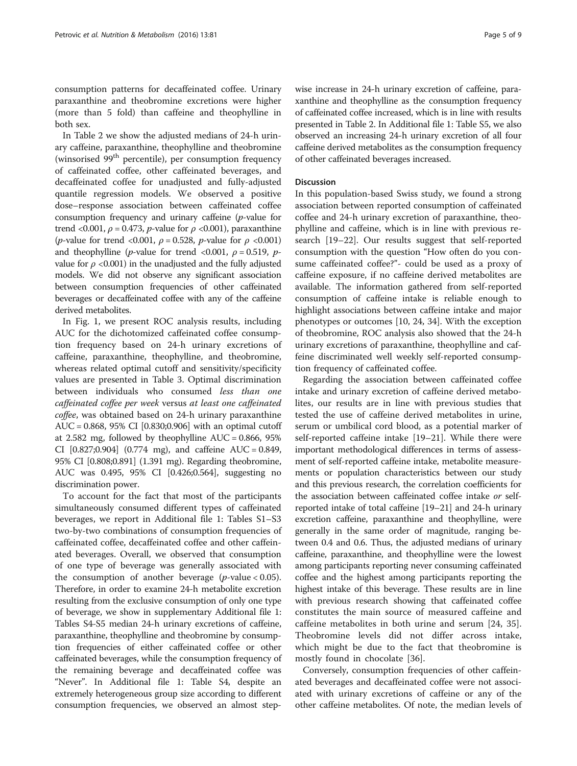consumption patterns for decaffeinated coffee. Urinary paraxanthine and theobromine excretions were higher (more than 5 fold) than caffeine and theophylline in both sex.

In Table [2](#page-5-0) we show the adjusted medians of 24-h urinary caffeine, paraxanthine, theophylline and theobromine (winsorised  $99<sup>th</sup>$  percentile), per consumption frequency of caffeinated coffee, other caffeinated beverages, and decaffeinated coffee for unadjusted and fully-adjusted quantile regression models. We observed a positive dose–response association between caffeinated coffee consumption frequency and urinary caffeine (p-value for trend <0.001,  $\rho$  = 0.473, *p*-value for  $\rho$  <0.001), paraxanthine (*p*-value for trend <0.001,  $\rho$  = 0.528, *p*-value for  $\rho$  <0.001) and theophylline (*p*-value for trend <0.001,  $\rho = 0.519$ , *p*value for  $\rho$  <0.001) in the unadjusted and the fully adjusted models. We did not observe any significant association between consumption frequencies of other caffeinated beverages or decaffeinated coffee with any of the caffeine derived metabolites.

In Fig. [1,](#page-6-0) we present ROC analysis results, including AUC for the dichotomized caffeinated coffee consumption frequency based on 24-h urinary excretions of caffeine, paraxanthine, theophylline, and theobromine, whereas related optimal cutoff and sensitivity/specificity values are presented in Table [3.](#page-6-0) Optimal discrimination between individuals who consumed less than one caffeinated coffee per week versus at least one caffeinated coffee, was obtained based on 24-h urinary paraxanthine AUC = 0.868, 95% CI [0.830;0.906] with an optimal cutoff at 2.582 mg, followed by theophylline  $AUC = 0.866$ , 95% CI  $[0.827; 0.904]$   $(0.774 \text{ mg})$ , and caffeine AUC = 0.849, 95% CI [0.808;0.891] (1.391 mg). Regarding theobromine, AUC was 0.495, 95% CI [0.426;0.564], suggesting no discrimination power.

To account for the fact that most of the participants simultaneously consumed different types of caffeinated beverages, we report in Additional file [1](#page-7-0): Tables S1–S3 two-by-two combinations of consumption frequencies of caffeinated coffee, decaffeinated coffee and other caffeinated beverages. Overall, we observed that consumption of one type of beverage was generally associated with the consumption of another beverage  $(p$ -value < 0.05). Therefore, in order to examine 24-h metabolite excretion resulting from the exclusive consumption of only one type of beverage, we show in supplementary Additional file [1](#page-7-0): Tables S4-S5 median 24-h urinary excretions of caffeine, paraxanthine, theophylline and theobromine by consumption frequencies of either caffeinated coffee or other caffeinated beverages, while the consumption frequency of the remaining beverage and decaffeinated coffee was "Never". In Additional file [1](#page-7-0): Table S4, despite an extremely heterogeneous group size according to different consumption frequencies, we observed an almost stepwise increase in 24-h urinary excretion of caffeine, paraxanthine and theophylline as the consumption frequency of caffeinated coffee increased, which is in line with results presented in Table [2.](#page-5-0) In Additional file [1:](#page-7-0) Table S5, we also observed an increasing 24-h urinary excretion of all four caffeine derived metabolites as the consumption frequency of other caffeinated beverages increased.

#### **Discussion**

In this population-based Swiss study, we found a strong association between reported consumption of caffeinated coffee and 24-h urinary excretion of paraxanthine, theophylline and caffeine, which is in line with previous research [\[19](#page-8-0)–[22\]](#page-8-0). Our results suggest that self-reported consumption with the question "How often do you consume caffeinated coffee?"- could be used as a proxy of caffeine exposure, if no caffeine derived metabolites are available. The information gathered from self-reported consumption of caffeine intake is reliable enough to highlight associations between caffeine intake and major phenotypes or outcomes [\[10](#page-8-0), [24](#page-8-0), [34](#page-8-0)]. With the exception of theobromine, ROC analysis also showed that the 24-h urinary excretions of paraxanthine, theophylline and caffeine discriminated well weekly self-reported consumption frequency of caffeinated coffee.

Regarding the association between caffeinated coffee intake and urinary excretion of caffeine derived metabolites, our results are in line with previous studies that tested the use of caffeine derived metabolites in urine, serum or umbilical cord blood, as a potential marker of self-reported caffeine intake [\[19](#page-8-0)–[21\]](#page-8-0). While there were important methodological differences in terms of assessment of self-reported caffeine intake, metabolite measurements or population characteristics between our study and this previous research, the correlation coefficients for the association between caffeinated coffee intake or selfreported intake of total caffeine [[19](#page-8-0)–[21\]](#page-8-0) and 24-h urinary excretion caffeine, paraxanthine and theophylline, were generally in the same order of magnitude, ranging between 0.4 and 0.6. Thus, the adjusted medians of urinary caffeine, paraxanthine, and theophylline were the lowest among participants reporting never consuming caffeinated coffee and the highest among participants reporting the highest intake of this beverage. These results are in line with previous research showing that caffeinated coffee constitutes the main source of measured caffeine and caffeine metabolites in both urine and serum [[24, 35](#page-8-0)]. Theobromine levels did not differ across intake, which might be due to the fact that theobromine is mostly found in chocolate [[36\]](#page-8-0).

Conversely, consumption frequencies of other caffeinated beverages and decaffeinated coffee were not associated with urinary excretions of caffeine or any of the other caffeine metabolites. Of note, the median levels of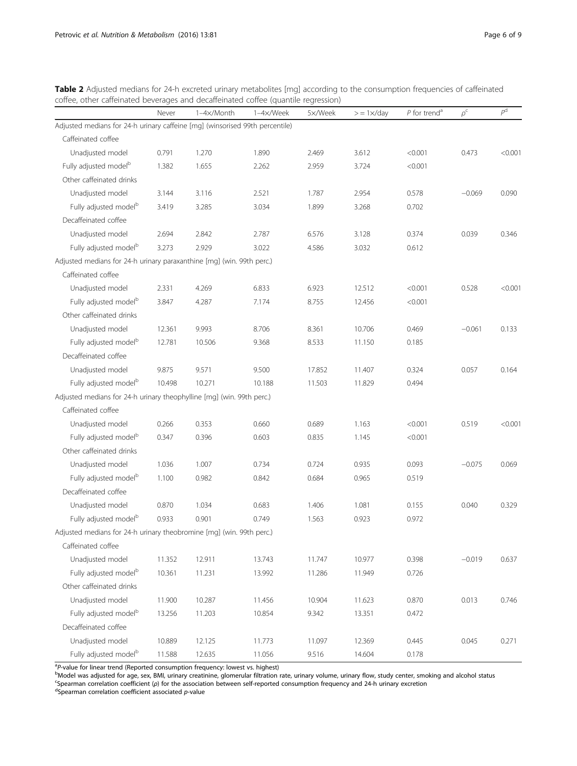|                                                                              | Never  | 1-4x/Month | 1-4x/Week | 5×/Week | $>$ = 1 $\times$ /day | $P$ for trend <sup>a</sup> | $\rho^{\rm c}$ | $\overline{P}^d$ |
|------------------------------------------------------------------------------|--------|------------|-----------|---------|-----------------------|----------------------------|----------------|------------------|
| Adjusted medians for 24-h urinary caffeine [mg] (winsorised 99th percentile) |        |            |           |         |                       |                            |                |                  |
| Caffeinated coffee                                                           |        |            |           |         |                       |                            |                |                  |
| Unadjusted model                                                             | 0.791  | 1.270      | 1.890     | 2.469   | 3.612                 | < 0.001                    | 0.473          | < 0.001          |
| Fully adjusted model <sup>b</sup>                                            | 1.382  | 1.655      | 2.262     | 2.959   | 3.724                 | < 0.001                    |                |                  |
| Other caffeinated drinks                                                     |        |            |           |         |                       |                            |                |                  |
| Unadjusted model                                                             | 3.144  | 3.116      | 2.521     | 1.787   | 2.954                 | 0.578                      | $-0.069$       | 0.090            |
| Fully adjusted model <sup>b</sup>                                            | 3.419  | 3.285      | 3.034     | 1.899   | 3.268                 | 0.702                      |                |                  |
| Decaffeinated coffee                                                         |        |            |           |         |                       |                            |                |                  |
| Unadjusted model                                                             | 2.694  | 2.842      | 2.787     | 6.576   | 3.128                 | 0.374                      | 0.039          | 0.346            |
| Fully adjusted model <sup>b</sup>                                            | 3.273  | 2.929      | 3.022     | 4.586   | 3.032                 | 0.612                      |                |                  |
| Adjusted medians for 24-h urinary paraxanthine [mg] (win. 99th perc.)        |        |            |           |         |                       |                            |                |                  |
| Caffeinated coffee                                                           |        |            |           |         |                       |                            |                |                  |
| Unadjusted model                                                             | 2.331  | 4.269      | 6.833     | 6.923   | 12.512                | < 0.001                    | 0.528          | < 0.001          |
| Fully adjusted model <sup>b</sup>                                            | 3.847  | 4.287      | 7.174     | 8.755   | 12.456                | < 0.001                    |                |                  |
| Other caffeinated drinks                                                     |        |            |           |         |                       |                            |                |                  |
| Unadjusted model                                                             | 12.361 | 9.993      | 8.706     | 8.361   | 10.706                | 0.469                      | $-0.061$       | 0.133            |
| Fully adjusted model <sup>b</sup>                                            | 12.781 | 10.506     | 9.368     | 8.533   | 11.150                | 0.185                      |                |                  |
| Decaffeinated coffee                                                         |        |            |           |         |                       |                            |                |                  |
| Unadjusted model                                                             | 9.875  | 9.571      | 9.500     | 17.852  | 11.407                | 0.324                      | 0.057          | 0.164            |
| Fully adjusted model <sup>b</sup>                                            | 10.498 | 10.271     | 10.188    | 11.503  | 11.829                | 0.494                      |                |                  |
| Adjusted medians for 24-h urinary theophylline [mg] (win. 99th perc.)        |        |            |           |         |                       |                            |                |                  |
| Caffeinated coffee                                                           |        |            |           |         |                       |                            |                |                  |
| Unadjusted model                                                             | 0.266  | 0.353      | 0.660     | 0.689   | 1.163                 | < 0.001                    | 0.519          | < 0.001          |
| Fully adjusted model <sup>b</sup>                                            | 0.347  | 0.396      | 0.603     | 0.835   | 1.145                 | < 0.001                    |                |                  |
| Other caffeinated drinks                                                     |        |            |           |         |                       |                            |                |                  |
| Unadjusted model                                                             | 1.036  | 1.007      | 0.734     | 0.724   | 0.935                 | 0.093                      | $-0.075$       | 0.069            |
| Fully adjusted model <sup>b</sup>                                            | 1.100  | 0.982      | 0.842     | 0.684   | 0.965                 | 0.519                      |                |                  |
| Decaffeinated coffee                                                         |        |            |           |         |                       |                            |                |                  |
| Unadjusted model                                                             | 0.870  | 1.034      | 0.683     | 1.406   | 1.081                 | 0.155                      | 0.040          | 0.329            |
| Fully adjusted model <sup>b</sup>                                            | 0.933  | 0.901      | 0.749     | 1.563   | 0.923                 | 0.972                      |                |                  |
| Adjusted medians for 24-h urinary theobromine [mg] (win. 99th perc.)         |        |            |           |         |                       |                            |                |                  |
| Caffeinated coffee                                                           |        |            |           |         |                       |                            |                |                  |
| Unadjusted model                                                             | 11.352 | 12.911     | 13.743    | 11.747  | 10.977                | 0.398                      | $-0.019$       | 0.637            |
| Fully adjusted model <sup>b</sup>                                            | 10.361 | 11.231     | 13.992    | 11.286  | 11.949                | 0.726                      |                |                  |
| Other caffeinated drinks                                                     |        |            |           |         |                       |                            |                |                  |
| Unadjusted model                                                             | 11.900 | 10.287     | 11.456    | 10.904  | 11.623                | 0.870                      | 0.013          | 0.746            |
| Fully adjusted model <sup>b</sup>                                            | 13.256 | 11.203     | 10.854    | 9.342   | 13.351                | 0.472                      |                |                  |
| Decaffeinated coffee                                                         |        |            |           |         |                       |                            |                |                  |
| Unadjusted model                                                             | 10.889 | 12.125     | 11.773    | 11.097  | 12.369                | 0.445                      | 0.045          | 0.271            |
| Fully adjusted model <sup>b</sup>                                            | 11.588 | 12.635     | 11.056    | 9.516   | 14.604                | 0.178                      |                |                  |

<span id="page-5-0"></span>Table 2 Adjusted medians for 24-h excreted urinary metabolites [mg] according to the consumption frequencies of caffeinated coffee, other caffeinated beverages and decaffeinated coffee (quantile regression)

<sup>a</sup>P-value for linear trend (Reported consumption frequency: lowest vs. highest)

Model was adjusted for age, sex, BMI, urinary creatinine, glomerular filtration rate, urinary volume, urinary flow, study center, smoking and alcohol status <sup>c</sup>Spearman correlation coefficient (ρ) for the association between self-reported consumption frequency and 24-h urinary excretion<br><sup>d</sup>Spearman correlation coefficient associated *p*-value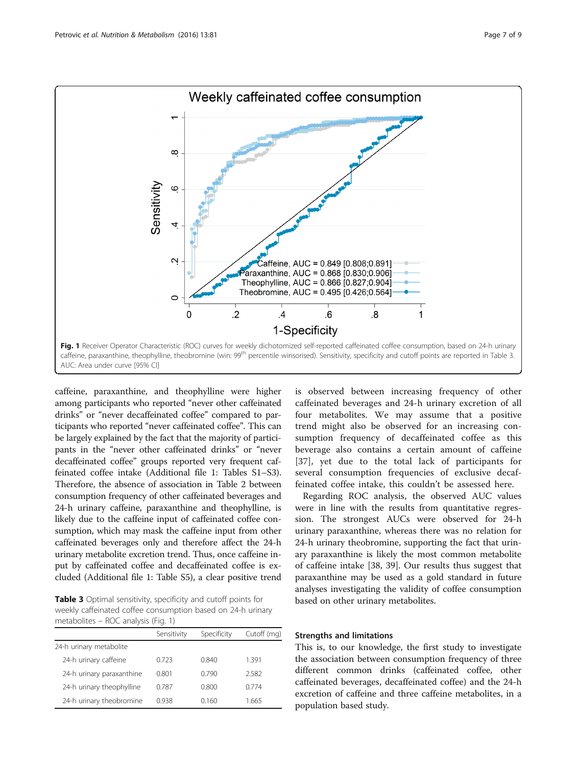<span id="page-6-0"></span>

caffeine, paraxanthine, and theophylline were higher among participants who reported "never other caffeinated drinks" or "never decaffeinated coffee" compared to participants who reported "never caffeinated coffee". This can be largely explained by the fact that the majority of participants in the "never other caffeinated drinks" or "never decaffeinated coffee" groups reported very frequent caffeinated coffee intake (Additional file [1:](#page-7-0) Tables S1–S3). Therefore, the absence of association in Table [2](#page-5-0) between consumption frequency of other caffeinated beverages and 24-h urinary caffeine, paraxanthine and theophylline, is likely due to the caffeine input of caffeinated coffee consumption, which may mask the caffeine input from other caffeinated beverages only and therefore affect the 24-h urinary metabolite excretion trend. Thus, once caffeine input by caffeinated coffee and decaffeinated coffee is excluded (Additional file [1:](#page-7-0) Table S5), a clear positive trend

Table 3 Optimal sensitivity, specificity and cutoff points for weekly caffeinated coffee consumption based on 24-h urinary metabolites – ROC analysis (Fig. 1)

|                           | Sensitivity | Specificity | Cutoff (mg) |
|---------------------------|-------------|-------------|-------------|
| 24-h urinary metabolite   |             |             |             |
| 24-h urinary caffeine     | 0.723       | 0.840       | 1.391       |
| 24-h urinary paraxanthine | 0.801       | 0.790       | 2.582       |
| 24-h urinary theophylline | 0.787       | 0.800       | 0.774       |
| 24-h urinary theobromine  | 0.938       | 0.160       | 1.665       |
|                           |             |             |             |

is observed between increasing frequency of other caffeinated beverages and 24-h urinary excretion of all four metabolites. We may assume that a positive trend might also be observed for an increasing consumption frequency of decaffeinated coffee as this beverage also contains a certain amount of caffeine [[37](#page-8-0)], yet due to the total lack of participants for several consumption frequencies of exclusive decaffeinated coffee intake, this couldn't be assessed here.

Regarding ROC analysis, the observed AUC values were in line with the results from quantitative regression. The strongest AUCs were observed for 24-h urinary paraxanthine, whereas there was no relation for 24-h urinary theobromine, supporting the fact that urinary paraxanthine is likely the most common metabolite of caffeine intake [[38, 39](#page-8-0)]. Our results thus suggest that paraxanthine may be used as a gold standard in future analyses investigating the validity of coffee consumption based on other urinary metabolites.

### Strengths and limitations

This is, to our knowledge, the first study to investigate the association between consumption frequency of three different common drinks (caffeinated coffee, other caffeinated beverages, decaffeinated coffee) and the 24-h excretion of caffeine and three caffeine metabolites, in a population based study.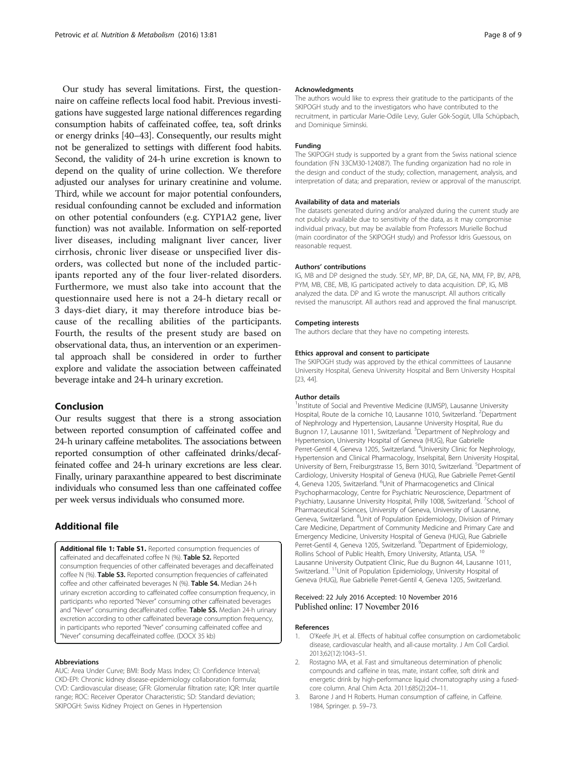<span id="page-7-0"></span>Our study has several limitations. First, the questionnaire on caffeine reflects local food habit. Previous investigations have suggested large national differences regarding consumption habits of caffeinated coffee, tea, soft drinks or energy drinks [[40](#page-8-0)–[43\]](#page-8-0). Consequently, our results might not be generalized to settings with different food habits. Second, the validity of 24-h urine excretion is known to depend on the quality of urine collection. We therefore adjusted our analyses for urinary creatinine and volume. Third, while we account for major potential confounders, residual confounding cannot be excluded and information on other potential confounders (e.g. CYP1A2 gene, liver function) was not available. Information on self-reported liver diseases, including malignant liver cancer, liver cirrhosis, chronic liver disease or unspecified liver disorders, was collected but none of the included participants reported any of the four liver-related disorders. Furthermore, we must also take into account that the questionnaire used here is not a 24-h dietary recall or 3 days-diet diary, it may therefore introduce bias because of the recalling abilities of the participants. Fourth, the results of the present study are based on observational data, thus, an intervention or an experimental approach shall be considered in order to further explore and validate the association between caffeinated beverage intake and 24-h urinary excretion.

### Conclusion

Our results suggest that there is a strong association between reported consumption of caffeinated coffee and 24-h urinary caffeine metabolites. The associations between reported consumption of other caffeinated drinks/decaffeinated coffee and 24-h urinary excretions are less clear. Finally, urinary paraxanthine appeared to best discriminate individuals who consumed less than one caffeinated coffee per week versus individuals who consumed more.

### Additional file

[Additional file 1: Table S1.](dx.doi.org/10.1186/s12986-016-0144-4) Reported consumption frequencies of caffeinated and decaffeinated coffee N (%). Table S2. Reported consumption frequencies of other caffeinated beverages and decaffeinated coffee N (%). Table S3. Reported consumption frequencies of caffeinated coffee and other caffeinated beverages N (%). Table S4. Median 24-h urinary excretion according to caffeinated coffee consumption frequency, in participants who reported "Never" consuming other caffeinated beverages and "Never" consuming decaffeinated coffee. Table S5. Median 24-h urinary excretion according to other caffeinated beverage consumption frequency, in participants who reported "Never" consuming caffeinated coffee and "Never" consuming decaffeinated coffee. (DOCX 35 kb)

#### Abbreviations

AUC: Area Under Curve; BMI: Body Mass Index; CI: Confidence Interval; CKD-EPI: Chronic kidney disease-epidemiology collaboration formula; CVD: Cardiovascular disease; GFR: Glomerular filtration rate; IQR: Inter quartile range; ROC: Receiver Operator Characteristic; SD: Standard deviation; SKIPOGH: Swiss Kidney Project on Genes in Hypertension

#### Acknowledgments

The authors would like to express their gratitude to the participants of the SKIPOGH study and to the investigators who have contributed to the recruitment, in particular Marie-Odile Levy, Guler Gök-Sogüt, Ulla Schüpbach, and Dominique Siminski.

#### Funding

The SKIPOGH study is supported by a grant from the Swiss national science foundation (FN 33CM30-124087). The funding organization had no role in the design and conduct of the study; collection, management, analysis, and interpretation of data; and preparation, review or approval of the manuscript.

#### Availability of data and materials

The datasets generated during and/or analyzed during the current study are not publicly available due to sensitivity of the data, as it may compromise individual privacy, but may be available from Professors Murielle Bochud (main coordinator of the SKIPOGH study) and Professor Idris Guessous, on reasonable request.

#### Authors' contributions

IG, MB and DP designed the study. SEY, MP, BP, DA, GE, NA, MM, FP, BV, APB, PYM, MB, CBE, MB, IG participated actively to data acquisition. DP, IG, MB analyzed the data. DP and IG wrote the manuscript. All authors critically revised the manuscript. All authors read and approved the final manuscript.

#### Competing interests

The authors declare that they have no competing interests.

#### Ethics approval and consent to participate

The SKIPOGH study was approved by the ethical committees of Lausanne University Hospital, Geneva University Hospital and Bern University Hospital [[23, 44\]](#page-8-0).

#### Author details

<sup>1</sup> Institute of Social and Preventive Medicine (IUMSP), Lausanne University Hospital, Route de la corniche 10, Lausanne 1010, Switzerland. <sup>2</sup>Department of Nephrology and Hypertension, Lausanne University Hospital, Rue du Bugnon 17, Lausanne 1011, Switzerland. <sup>3</sup>Department of Nephrology and Hypertension, University Hospital of Geneva (HUG), Rue Gabrielle Perret-Gentil 4, Geneva 1205, Switzerland. <sup>4</sup>University Clinic for Nephrology Hypertension and Clinical Pharmacology, Inselspital, Bern University Hospital, University of Bern, Freiburgstrasse 15, Bern 3010, Switzerland. <sup>5</sup>Department of Cardiology, University Hospital of Geneva (HUG), Rue Gabrielle Perret-Gentil 4, Geneva 1205, Switzerland. <sup>6</sup>Unit of Pharmacogenetics and Clinical Psychopharmacology, Centre for Psychiatric Neuroscience, Department of Psychiatry, Lausanne University Hospital, Prilly 1008, Switzerland. <sup>7</sup>School of Pharmaceutical Sciences, University of Geneva, University of Lausanne, Geneva, Switzerland. <sup>8</sup>Unit of Population Epidemiology, Division of Primary Care Medicine, Department of Community Medicine and Primary Care and Emergency Medicine, University Hospital of Geneva (HUG), Rue Gabrielle Perret-Gentil 4, Geneva 1205, Switzerland. <sup>9</sup>Department of Epidemiology Rollins School of Public Health, Emory University, Atlanta, USA. <sup>10</sup> Lausanne University Outpatient Clinic, Rue du Bugnon 44, Lausanne 1011, Switzerland. 11Unit of Population Epidemiology, University Hospital of Geneva (HUG), Rue Gabrielle Perret-Gentil 4, Geneva 1205, Switzerland.

#### Received: 22 July 2016 Accepted: 10 November 2016 Published online: 17 November 2016

#### References

- 1. O'Keefe JH, et al. Effects of habitual coffee consumption on cardiometabolic disease, cardiovascular health, and all-cause mortality. J Am Coll Cardiol. 2013;62(12):1043–51.
- 2. Rostagno MA, et al. Fast and simultaneous determination of phenolic compounds and caffeine in teas, mate, instant coffee, soft drink and energetic drink by high-performance liquid chromatography using a fusedcore column. Anal Chim Acta. 2011;685(2):204–11.
- 3. Barone J and H Roberts. Human consumption of caffeine, in Caffeine. 1984, Springer. p. 59–73.